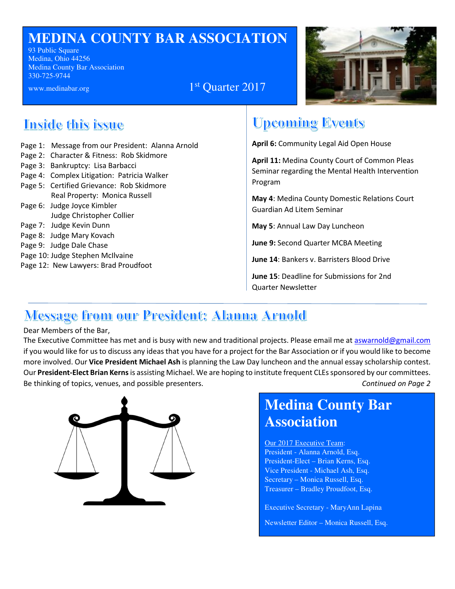## **MEDINA COUNTY BAR ASSOCIATION**

93 Public Square Medina, Ohio 44256 Medina County Bar Association 330-725-9744

www.medinabar.org 1



## **Tnside this issue**

- Page 1: Message from our President: Alanna Arnold
- Page 2: Character & Fitness: Rob Skidmore
- Page 3: Bankruptcy: Lisa Barbacci
- Page 4: Complex Litigation: Patricia Walker
- Page 5: Certified Grievance: Rob Skidmore Real Property: Monica Russell
- Page 6: Judge Joyce Kimbler Judge Christopher Collier
- Page 7: Judge Kevin Dunn
- Page 8: Judge Mary Kovach
- Page 9: Judge Dale Chase
- Page 10: Judge Stephen McIlvaine
- Page 12: New Lawyers: Brad Proudfoot

# **Upcoming Events**

**April 6:** Community Legal Aid Open House

**April 11:** Medina County Court of Common Pleas Seminar regarding the Mental Health Intervention Program

**May 4**: Medina County Domestic Relations Court Guardian Ad Litem Seminar

**May 5**: Annual Law Day Luncheon

**June 9:** Second Quarter MCBA Meeting

**June 14**: Bankers v. Barristers Blood Drive

**June 15**: Deadline for Submissions for 2nd Quarter Newsletter

# <u> Message from our President: Alanna Arnold</u>

#### Dear Members of the Bar,

The Executive Committee has met and is busy with new and traditional projects. Please email me at aswarnold@gmail.com if you would like for us to discuss any ideas that you have for a project for the Bar Association or if you would like to become more involved. Our **Vice President Michael Ash** is planning the Law Day luncheon and the annual essay scholarship contest. Our **President-Elect Brian Kerns** is assisting Michael. We are hoping to institute frequent CLEs sponsored by our committees. Be thinking of topics, venues, and possible presenters. *Continued on Page 2*

1<sup>st</sup> Quarter 2017



# **Medina County Bar Association**

Our 2017 Executive Team: President - Alanna Arnold, Esq. President-Elect – Brian Kerns, Esq. Vice President - Michael Ash, Esq. Secretary – Monica Russell, Esq. Treasurer – Bradley Proudfoot, Esq.

Executive Secretary - MaryAnn Lapina

Newsletter Editor – Monica Russell, Esq.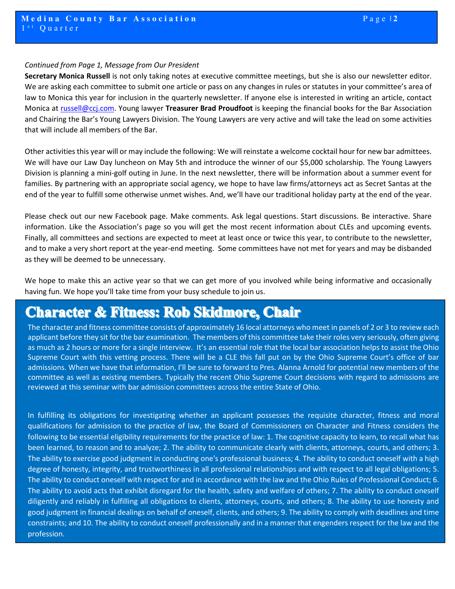#### *Continued from Page 1, Message from Our President*

**Secretary Monica Russell** is not only taking notes at executive committee meetings, but she is also our newsletter editor. We are asking each committee to submit one article or pass on any changes in rules or statutes in your committee's area of law to Monica this year for inclusion in the quarterly newsletter. If anyone else is interested in writing an article, contact Monica at russell@ccj.com. Young lawyer **Treasurer Brad Proudfoot** is keeping the financial books for the Bar Association and Chairing the Bar's Young Lawyers Division. The Young Lawyers are very active and will take the lead on some activities that will include all members of the Bar.

Other activities this year will or may include the following: We will reinstate a welcome cocktail hour for new bar admittees. We will have our Law Day luncheon on May 5th and introduce the winner of our \$5,000 scholarship. The Young Lawyers Division is planning a mini-golf outing in June. In the next newsletter, there will be information about a summer event for families. By partnering with an appropriate social agency, we hope to have law firms/attorneys act as Secret Santas at the end of the year to fulfill some otherwise unmet wishes. And, we'll have our traditional holiday party at the end of the year.

Please check out our new Facebook page. Make comments. Ask legal questions. Start discussions. Be interactive. Share information. Like the Association's page so you will get the most recent information about CLEs and upcoming events. Finally, all committees and sections are expected to meet at least once or twice this year, to contribute to the newsletter, and to make a very short report at the year-end meeting. Some committees have not met for years and may be disbanded as they will be deemed to be unnecessary.

We hope to make this an active year so that we can get more of you involved while being informative and occasionally having fun. We hope you'll take time from your busy schedule to join us.

### **Character & Fitness: Rob Skidmore, Chair**

The character and fitness committee consists of approximately 16 local attorneys who meet in panels of 2 or 3 to review each applicant before they sit for the bar examination. The members of this committee take their roles very seriously, often giving as much as 2 hours or more for a single interview. It's an essential role that the local bar association helps to assist the Ohio Supreme Court with this vetting process. There will be a CLE this fall put on by the Ohio Supreme Court's office of bar admissions. When we have that information, I'll be sure to forward to Pres. Alanna Arnold for potential new members of the committee as well as existing members. Typically the recent Ohio Supreme Court decisions with regard to admissions are reviewed at this seminar with bar admission committees across the entire State of Ohio.

In fulfilling its obligations for investigating whether an applicant possesses the requisite character, fitness and moral qualifications for admission to the practice of law, the Board of Commissioners on Character and Fitness considers the following to be essential eligibility requirements for the practice of law: 1. The cognitive capacity to learn, to recall what has been learned, to reason and to analyze; 2. The ability to communicate clearly with clients, attorneys, courts, and others; 3. The ability to exercise good judgment in conducting one's professional business; 4. The ability to conduct oneself with a high degree of honesty, integrity, and trustworthiness in all professional relationships and with respect to all legal obligations; 5. The ability to conduct oneself with respect for and in accordance with the law and the Ohio Rules of Professional Conduct; 6. The ability to avoid acts that exhibit disregard for the health, safety and welfare of others; 7. The ability to conduct oneself diligently and reliably in fulfilling all obligations to clients, attorneys, courts, and others; 8. The ability to use honesty and good judgment in financial dealings on behalf of oneself, clients, and others; 9. The ability to comply with deadlines and time constraints; and 10. The ability to conduct oneself professionally and in a manner that engenders respect for the law and the profession.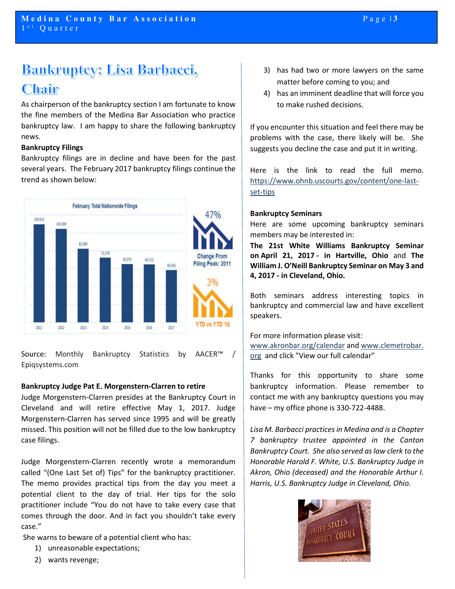# **Bankruptey: Lisa Barbacci,** Chair

As chairperson of the bankruptcy section I am fortunate to know the fine members of the Medina Bar Association who practice bankruptcy law. I am happy to share the following bankruptcy news.

#### **Bankruptcy Filings**

Bankruptcy filings are in decline and have been for the past several years. The February 2017 bankruptcy filings continue the trend as shown below:



Source: Monthly Bankruptcy Statistics by AACER<sup>™</sup> Epiqsystems.com

#### **Bankruptcy Judge Pat E. Morgenstern-Clarren to retire**

Judge Morgenstern-Clarren presides at the Bankruptcy Court in Cleveland and will retire effective May 1, 2017. Judge Morgenstern-Clarren has served since 1995 and will be greatly missed. This position will not be filled due to the low bankruptcy case filings.

Judge Morgenstern-Clarren recently wrote a memorandum called "(One Last Set of) Tips" for the bankruptcy practitioner. The memo provides practical tips from the day you meet a potential client to the day of trial. Her tips for the solo practitioner include "You do not have to take every case that comes through the door. And in fact you shouldn't take every case."

She warns to beware of a potential client who has:

- 1) unreasonable expectations;
- 2) wants revenge;
- 3) has had two or more lawyers on the same matter before coming to you; and
- 4) has an imminent deadline that will force you to make rushed decisions.

If you encounter this situation and feel there may be problems with the case, there likely will be. She suggests you decline the case and put it in writing.

Here is the link to read the full memo. https://www.ohnb.uscourts.gov/content/one-lastset-tips

#### **Bankruptcy Seminars**

Here are some upcoming bankruptcy seminars members may be interested in:

**The 21st White Williams Bankruptcy Seminar on April 21, 2017 - in Hartville, Ohio** and **The William J. O'Neill Bankruptcy Seminar on May 3 and 4, 2017 - in Cleveland, Ohio.** 

Both seminars address interesting topics in bankruptcy and commercial law and have excellent speakers.

For more information please visit: www.akronbar.org/calendar and www.clemetrobar. org and click "View our full calendar"

Thanks for this opportunity to share some bankruptcy information. Please remember to contact me with any bankruptcy questions you may have – my office phone is 330-722-4488.

*Lisa M. Barbacci practices in Medina and is a Chapter 7 bankruptcy trustee appointed in the Canton Bankruptcy Court. She also served as law clerk to the Honorable Harold F. White, U.S. Bankruptcy Judge in Akron, Ohio (deceased) and the Honorable Arthur I. Harris, U.S. Bankruptcy Judge in Cleveland, Ohio.* 

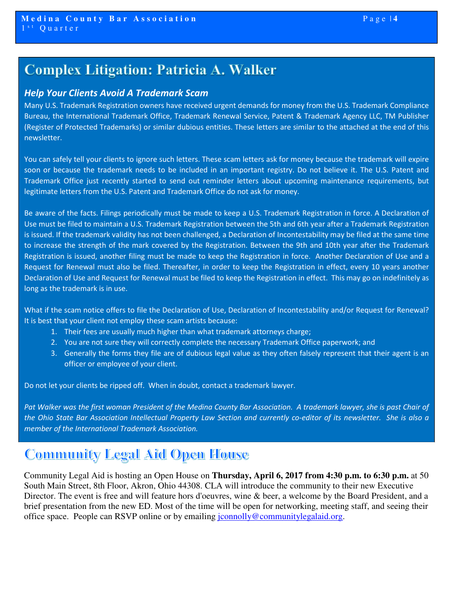## **Complex Litigation: Patricia A. Walker**

#### *Help Your Clients Avoid A Trademark Scam*

Many U.S. Trademark Registration owners have received urgent demands for money from the U.S. Trademark Compliance Bureau, the International Trademark Office, Trademark Renewal Service, Patent & Trademark Agency LLC, TM Publisher (Register of Protected Trademarks) or similar dubious entities. These letters are similar to the attached at the end of this newsletter.

You can safely tell your clients to ignore such letters. These scam letters ask for money because the trademark will expire soon or because the trademark needs to be included in an important registry. Do not believe it. The U.S. Patent and Trademark Office just recently started to send out reminder letters about upcoming maintenance requirements, but legitimate letters from the U.S. Patent and Trademark Office do not ask for money.

Be aware of the facts. Filings periodically must be made to keep a U.S. Trademark Registration in force. A Declaration of Use must be filed to maintain a U.S. Trademark Registration between the 5th and 6th year after a Trademark Registration is issued. If the trademark validity has not been challenged, a Declaration of Incontestability may be filed at the same time to increase the strength of the mark covered by the Registration. Between the 9th and 10th year after the Trademark Registration is issued, another filing must be made to keep the Registration in force. Another Declaration of Use and a Request for Renewal must also be filed. Thereafter, in order to keep the Registration in effect, every 10 years another Declaration of Use and Request for Renewal must be filed to keep the Registration in effect. This may go on indefinitely as long as the trademark is in use.

What if the scam notice offers to file the Declaration of Use, Declaration of Incontestability and/or Request for Renewal? It is best that your client not employ these scam artists because:

- 1. Their fees are usually much higher than what trademark attorneys charge;
- 2. You are not sure they will correctly complete the necessary Trademark Office paperwork; and
- 3. Generally the forms they file are of dubious legal value as they often falsely represent that their agent is an officer or employee of your client.

Do not let your clients be ripped off. When in doubt, contact a trademark lawyer.

Pat Walker was the first woman President of the Medina County Bar Association. A trademark lawyer, she is past Chair of *the Ohio State Bar Association Intellectual Property Law Section and currently co-editor of its newsletter. She is also a member of the International Trademark Association.* 

### **Community Legal Aid Open House**

Community Legal Aid is hosting an Open House on **Thursday, April 6, 2017 from 4:30 p.m. to 6:30 p.m.** at 50 South Main Street, 8th Floor, Akron, Ohio 44308. CLA will introduce the community to their new Executive Director. The event is free and will feature hors d'oeuvres, wine & beer, a welcome by the Board President, and a brief presentation from the new ED. Most of the time will be open for networking, meeting staff, and seeing their office space. People can RSVP online or by emailing jconnolly@communitylegalaid.org.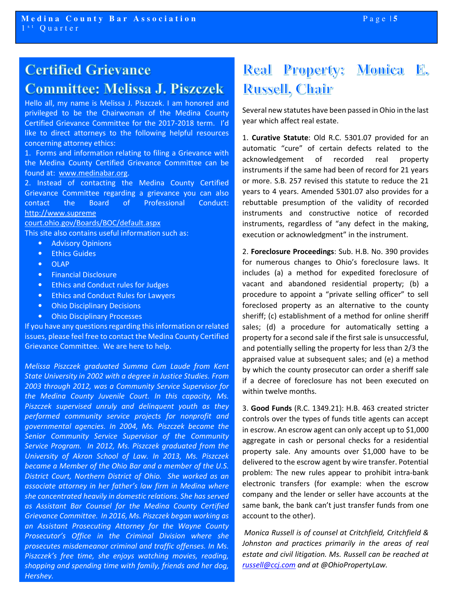## **Certified Grievance Committee: Melissa J. Piszczek**

Hello all, my name is Melissa J. Piszczek. I am honored and privileged to be the Chairwoman of the Medina County Certified Grievance Committee for the 2017-2018 term. I'd like to direct attorneys to the following helpful resources concerning attorney ethics:

1. Forms and information relating to filing a Grievance with the Medina County Certified Grievance Committee can be found at: www.medinabar.org.

2. Instead of contacting the Medina County Certified Grievance Committee regarding a grievance you can also contact the Board of Professional Conduct: http://www.supreme

court.ohio.gov/Boards/BOC/default.aspx

This site also contains useful information such as:

- Advisory Opinions
- Ethics Guides
- OLAP
- Financial Disclosure
- Ethics and Conduct rules for Judges
- Ethics and Conduct Rules for Lawyers
- Ohio Disciplinary Decisions
- Ohio Disciplinary Processes

If you have any questions regarding this information or related issues, please feel free to contact the Medina County Certified Grievance Committee. We are here to help.

*Melissa Piszczek graduated Summa Cum Laude from Kent State University in 2002 with a degree in Justice Studies. From 2003 through 2012, was a Community Service Supervisor for the Medina County Juvenile Court. In this capacity, Ms. Piszczek supervised unruly and delinquent youth as they performed community service projects for nonprofit and governmental agencies. In 2004, Ms. Piszczek became the Senior Community Service Supervisor of the Community Service Program. In 2012, Ms. Piszczek graduated from the University of Akron School of Law. In 2013, Ms. Piszczek became a Member of the Ohio Bar and a member of the U.S. District Court, Northern District of Ohio. She worked as an associate attorney in her father's law firm in Medina where she concentrated heavily in domestic relations. She has served as Assistant Bar Counsel for the Medina County Certified Grievance Committee. In 2016, Ms. Piszczek began working as an Assistant Prosecuting Attorney for the Wayne County Prosecutor's Office in the Criminal Division where she prosecutes misdemeanor criminal and traffic offenses. In Ms. Piszczek's free time, she enjoys watching movies, reading, shopping and spending time with family, friends and her dog, Hershey.* 

## **Real Property: Monica E. Russell, Chair**

Several new statutes have been passed in Ohio in the last year which affect real estate.

1. **Curative Statute**: Old R.C. 5301.07 provided for an automatic "cure" of certain defects related to the acknowledgement of recorded real property instruments if the same had been of record for 21 years or more. S.B. 257 revised this statute to reduce the 21 years to 4 years. Amended 5301.07 also provides for a rebuttable presumption of the validity of recorded instruments and constructive notice of recorded instruments, regardless of "any defect in the making, execution or acknowledgment" in the instrument.

2. **Foreclosure Proceedings**: Sub. H.B. No. 390 provides for numerous changes to Ohio's foreclosure laws. It includes (a) a method for expedited foreclosure of vacant and abandoned residential property; (b) a procedure to appoint a "private selling officer" to sell foreclosed property as an alternative to the county sheriff; (c) establishment of a method for online sheriff sales; (d) a procedure for automatically setting a property for a second sale if the first sale is unsuccessful, and potentially selling the property for less than 2/3 the appraised value at subsequent sales; and (e) a method by which the county prosecutor can order a sheriff sale if a decree of foreclosure has not been executed on within twelve months.

3. **Good Funds** (R.C. 1349.21): H.B. 463 created stricter controls over the types of funds title agents can accept in escrow. An escrow agent can only accept up to \$1,000 aggregate in cash or personal checks for a residential property sale. Any amounts over \$1,000 have to be delivered to the escrow agent by wire transfer. Potential problem: The new rules appear to prohibit intra-bank electronic transfers (for example: when the escrow company and the lender or seller have accounts at the same bank, the bank can't just transfer funds from one account to the other).

 *Monica Russell is of counsel at Critchfield, Critchfield & Johnston and practices primarily in the areas of real estate and civil litigation. Ms. Russell can be reached at russell@ccj.com and at @OhioPropertyLaw.*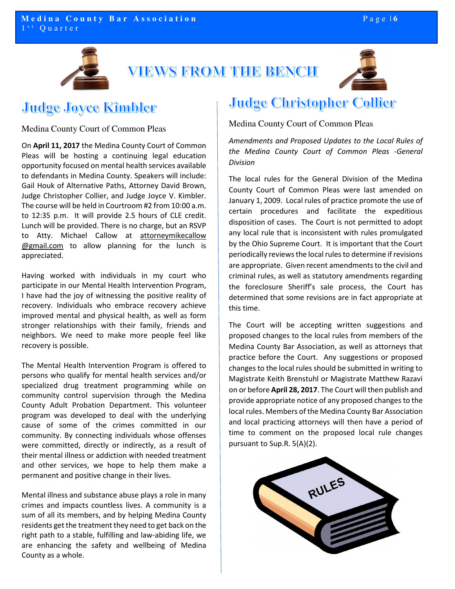



## Judge Joyce Kimbler

Medina County Court of Common Pleas

On **April 11, 2017** the Medina County Court of Common Pleas will be hosting a continuing legal education opportunity focused on mental health services available to defendants in Medina County. Speakers will include: Gail Houk of Alternative Paths, Attorney David Brown, Judge Christopher Collier, and Judge Joyce V. Kimbler. The course will be held in Courtroom #2 from 10:00 a.m. to 12:35 p.m. It will provide 2.5 hours of CLE credit. Lunch will be provided. There is no charge, but an RSVP to Atty. Michael Callow at attorneymikecallow @gmail.com to allow planning for the lunch is appreciated.

Having worked with individuals in my court who participate in our Mental Health Intervention Program, I have had the joy of witnessing the positive reality of recovery. Individuals who embrace recovery achieve improved mental and physical health, as well as form stronger relationships with their family, friends and neighbors. We need to make more people feel like recovery is possible.

The Mental Health Intervention Program is offered to persons who qualify for mental health services and/or specialized drug treatment programming while on community control supervision through the Medina County Adult Probation Department. This volunteer program was developed to deal with the underlying cause of some of the crimes committed in our community. By connecting individuals whose offenses were committed, directly or indirectly, as a result of their mental illness or addiction with needed treatment and other services, we hope to help them make a permanent and positive change in their lives.

Mental illness and substance abuse plays a role in many crimes and impacts countless lives. A community is a sum of all its members, and by helping Medina County residents get the treatment they need to get back on the right path to a stable, fulfilling and law-abiding life, we are enhancing the safety and wellbeing of Medina County as a whole.

#### **Judge Christopher Collier**

Medina County Court of Common Pleas

*Amendments and Proposed Updates to the Local Rules of the Medina County Court of Common Pleas -General Division* 

The local rules for the General Division of the Medina County Court of Common Pleas were last amended on January 1, 2009. Local rules of practice promote the use of certain procedures and facilitate the expeditious disposition of cases. The Court is not permitted to adopt any local rule that is inconsistent with rules promulgated by the Ohio Supreme Court. It is important that the Court periodically reviews the local rules to determine if revisions are appropriate. Given recent amendments to the civil and criminal rules, as well as statutory amendments regarding the foreclosure Sheriff's sale process, the Court has determined that some revisions are in fact appropriate at this time.

The Court will be accepting written suggestions and proposed changes to the local rules from members of the Medina County Bar Association, as well as attorneys that practice before the Court. Any suggestions or proposed changes to the local rules should be submitted in writing to Magistrate Keith Brenstuhl or Magistrate Matthew Razavi on or before **April 28, 2017**. The Court will then publish and provide appropriate notice of any proposed changes to the local rules. Members of the Medina County Bar Association and local practicing attorneys will then have a period of time to comment on the proposed local rule changes pursuant to Sup.R. 5(A)(2).

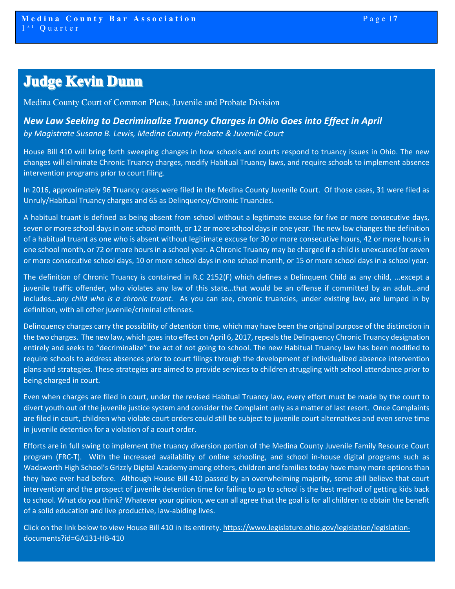## **Judge Kevin Dunn**

Medina County Court of Common Pleas, Juvenile and Probate Division

*New Law Seeking to Decriminalize Truancy Charges in Ohio Goes into Effect in April by Magistrate Susana B. Lewis, Medina County Probate & Juvenile Court* 

House Bill 410 will bring forth sweeping changes in how schools and courts respond to truancy issues in Ohio. The new changes will eliminate Chronic Truancy charges, modify Habitual Truancy laws, and require schools to implement absence intervention programs prior to court filing.

In 2016, approximately 96 Truancy cases were filed in the Medina County Juvenile Court. Of those cases, 31 were filed as Unruly/Habitual Truancy charges and 65 as Delinquency/Chronic Truancies.

A habitual truant is defined as being absent from school without a legitimate excuse for five or more consecutive days, seven or more school days in one school month, or 12 or more school days in one year. The new law changes the definition of a habitual truant as one who is absent without legitimate excuse for 30 or more consecutive hours, 42 or more hours in one school month, or 72 or more hours in a school year. A Chronic Truancy may be charged if a child is unexcused for seven or more consecutive school days, 10 or more school days in one school month, or 15 or more school days in a school year.

The definition of Chronic Truancy is contained in R.C 2152(F) which defines a Delinquent Child as any child, ...except a juvenile traffic offender, who violates any law of this state…that would be an offense if committed by an adult…and includes…a*ny child who is a chronic truant.* As you can see, chronic truancies, under existing law, are lumped in by definition, with all other juvenile/criminal offenses.

Delinquency charges carry the possibility of detention time, which may have been the original purpose of the distinction in the two charges. The new law, which goes into effect on April 6, 2017, repeals the Delinquency Chronic Truancy designation entirely and seeks to "decriminalize" the act of not going to school. The new Habitual Truancy law has been modified to require schools to address absences prior to court filings through the development of individualized absence intervention plans and strategies. These strategies are aimed to provide services to children struggling with school attendance prior to being charged in court.

Even when charges are filed in court, under the revised Habitual Truancy law, every effort must be made by the court to divert youth out of the juvenile justice system and consider the Complaint only as a matter of last resort. Once Complaints are filed in court, children who violate court orders could still be subject to juvenile court alternatives and even serve time in juvenile detention for a violation of a court order.

Efforts are in full swing to implement the truancy diversion portion of the Medina County Juvenile Family Resource Court program (FRC-T). With the increased availability of online schooling, and school in-house digital programs such as Wadsworth High School's Grizzly Digital Academy among others, children and families today have many more options than they have ever had before. Although House Bill 410 passed by an overwhelming majority, some still believe that court intervention and the prospect of juvenile detention time for failing to go to school is the best method of getting kids back to school. What do you think? Whatever your opinion, we can all agree that the goal is for all children to obtain the benefit of a solid education and live productive, law-abiding lives.

Click on the link below to view House Bill 410 in its entirety. https://www.legislature.ohio.gov/legislation/legislationdocuments?id=GA131-HB-410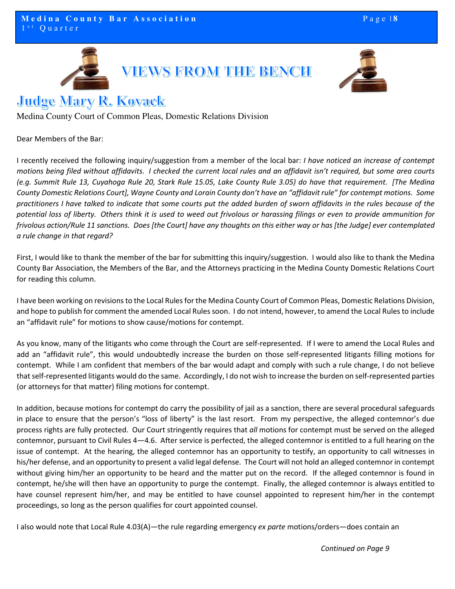



### **Judge Mary R. Kovack**

Medina County Court of Common Pleas, Domestic Relations Division

Dear Members of the Bar:

I recently received the following inquiry/suggestion from a member of the local bar: *I have noticed an increase of contempt motions being filed without affidavits. I checked the current local rules and an affidavit isn't required, but some area courts (e.g. Summit Rule 13, Cuyahoga Rule 20, Stark Rule 15.05, Lake County Rule 3.05) do have that requirement. [The Medina County Domestic Relations Court], Wayne County and Lorain County don't have an "affidavit rule" for contempt motions. Some practitioners I have talked to indicate that some courts put the added burden of sworn affidavits in the rules because of the potential loss of liberty. Others think it is used to weed out frivolous or harassing filings or even to provide ammunition for frivolous action/Rule 11 sanctions. Does [the Court] have any thoughts on this either way or has [the Judge] ever contemplated a rule change in that regard?* 

First, I would like to thank the member of the bar for submitting this inquiry/suggestion. I would also like to thank the Medina County Bar Association, the Members of the Bar, and the Attorneys practicing in the Medina County Domestic Relations Court for reading this column.

I have been working on revisions to the Local Rules for the Medina County Court of Common Pleas, Domestic Relations Division, and hope to publish for comment the amended Local Rules soon. I do not intend, however, to amend the Local Rules to include an "affidavit rule" for motions to show cause/motions for contempt.

As you know, many of the litigants who come through the Court are self-represented. If I were to amend the Local Rules and add an "affidavit rule", this would undoubtedly increase the burden on those self-represented litigants filling motions for contempt. While I am confident that members of the bar would adapt and comply with such a rule change, I do not believe that self-represented litigants would do the same. Accordingly, I do not wish to increase the burden on self-represented parties (or attorneys for that matter) filing motions for contempt.

In addition, because motions for contempt do carry the possibility of jail as a sanction, there are several procedural safeguards in place to ensure that the person's "loss of liberty" is the last resort. From my perspective, the alleged contemnor's due process rights are fully protected. Our Court stringently requires that *all* motions for contempt must be served on the alleged contemnor, pursuant to Civil Rules 4—4.6. After service is perfected, the alleged contemnor is entitled to a full hearing on the issue of contempt. At the hearing, the alleged contemnor has an opportunity to testify, an opportunity to call witnesses in his/her defense, and an opportunity to present a valid legal defense. The Court will not hold an alleged contemnor in contempt without giving him/her an opportunity to be heard and the matter put on the record. If the alleged contemnor is found in contempt, he/she will then have an opportunity to purge the contempt. Finally, the alleged contemnor is always entitled to have counsel represent him/her, and may be entitled to have counsel appointed to represent him/her in the contempt proceedings, so long as the person qualifies for court appointed counsel.

I also would note that Local Rule 4.03(A)—the rule regarding emergency *ex parte* motions/orders—does contain an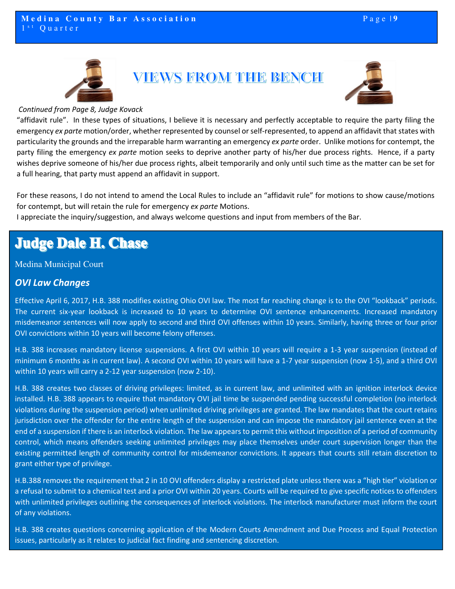



*Continued from Page 8, Judge Kovack* 

"affidavit rule". In these types of situations, I believe it is necessary and perfectly acceptable to require the party filing the emergency *ex parte* motion/order, whether represented by counsel or self-represented, to append an affidavit that states with particularity the grounds and the irreparable harm warranting an emergency *ex parte* order. Unlike motions for contempt, the party filing the emergency *ex parte* motion seeks to deprive another party of his/her due process rights. Hence, if a party wishes deprive someone of his/her due process rights, albeit temporarily and only until such time as the matter can be set for a full hearing, that party must append an affidavit in support.

For these reasons, I do not intend to amend the Local Rules to include an "affidavit rule" for motions to show cause/motions for contempt, but will retain the rule for emergency *ex parte* Motions.

I appreciate the inquiry/suggestion, and always welcome questions and input from members of the Bar.

# **Judge Dale H. Chase**

#### Medina Municipal Court

#### *OVI Law Changes*

Effective April 6, 2017, H.B. 388 modifies existing Ohio OVI law. The most far reaching change is to the OVI "lookback" periods. The current six-year lookback is increased to 10 years to determine OVI sentence enhancements. Increased mandatory misdemeanor sentences will now apply to second and third OVI offenses within 10 years. Similarly, having three or four prior OVI convictions within 10 years will become felony offenses.

H.B. 388 increases mandatory license suspensions. A first OVI within 10 years will require a 1-3 year suspension (instead of minimum 6 months as in current law). A second OVI within 10 years will have a 1-7 year suspension (now 1-5), and a third OVI within 10 years will carry a 2-12 year suspension (now 2-10).

H.B. 388 creates two classes of driving privileges: limited, as in current law, and unlimited with an ignition interlock device installed. H.B. 388 appears to require that mandatory OVI jail time be suspended pending successful completion (no interlock violations during the suspension period) when unlimited driving privileges are granted. The law mandates that the court retains jurisdiction over the offender for the entire length of the suspension and can impose the mandatory jail sentence even at the end of a suspension if there is an interlock violation. The law appears to permit this without imposition of a period of community control, which means offenders seeking unlimited privileges may place themselves under court supervision longer than the existing permitted length of community control for misdemeanor convictions. It appears that courts still retain discretion to grant either type of privilege.

H.B.388 removes the requirement that 2 in 10 OVI offenders display a restricted plate unless there was a "high tier" violation or a refusal to submit to a chemical test and a prior OVI within 20 years. Courts will be required to give specific notices to offenders with unlimited privileges outlining the consequences of interlock violations. The interlock manufacturer must inform the court of any violations.

H.B. 388 creates questions concerning application of the Modern Courts Amendment and Due Process and Equal Protection issues, particularly as it relates to judicial fact finding and sentencing discretion.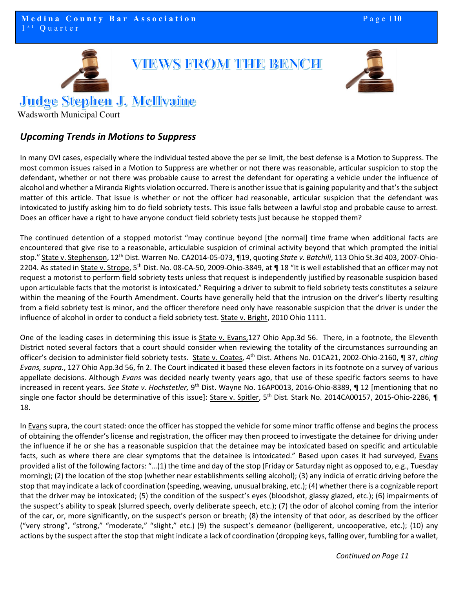

#### **Judge Stephen J. McIllyaine**

Wadsworth Municipal Court

#### *Upcoming Trends in Motions to Suppress*

In many OVI cases, especially where the individual tested above the per se limit, the best defense is a Motion to Suppress. The most common issues raised in a Motion to Suppress are whether or not there was reasonable, articular suspicion to stop the defendant, whether or not there was probable cause to arrest the defendant for operating a vehicle under the influence of alcohol and whether a Miranda Rights violation occurred. There is another issue that is gaining popularity and that's the subject matter of this article. That issue is whether or not the officer had reasonable, articular suspicion that the defendant was intoxicated to justify asking him to do field sobriety tests. This issue falls between a lawful stop and probable cause to arrest. Does an officer have a right to have anyone conduct field sobriety tests just because he stopped them?

The continued detention of a stopped motorist "may continue beyond [the normal] time frame when additional facts are encountered that give rise to a reasonable, articulable suspicion of criminal activity beyond that which prompted the initial stop." State v. Stephenson, 12th Dist. Warren No. CA2014-05-073, ¶19, quoting *State v. Batchili*, 113 Ohio St.3d 403, 2007-Ohio-2204. As stated in State v. Strope, 5<sup>th</sup> Dist. No. 08-CA-50, 2009-Ohio-3849, at ¶ 18 "It is well established that an officer may not request a motorist to perform field sobriety tests unless that request is independently justified by reasonable suspicion based upon articulable facts that the motorist is intoxicated." Requiring a driver to submit to field sobriety tests constitutes a seizure within the meaning of the Fourth Amendment. Courts have generally held that the intrusion on the driver's liberty resulting from a field sobriety test is minor, and the officer therefore need only have reasonable suspicion that the driver is under the influence of alcohol in order to conduct a field sobriety test. State v. Bright, 2010 Ohio 1111.

One of the leading cases in determining this issue is State v. Evans,127 Ohio App.3d 56. There, in a footnote, the Eleventh District noted several factors that a court should consider when reviewing the totality of the circumstances surrounding an officer's decision to administer field sobriety tests. State v. Coates, 4th Dist. Athens No. 01CA21, 2002-Ohio-2160, ¶ 37, *citing Evans, supra.*, 127 Ohio App.3d 56, fn 2. The Court indicated it based these eleven factors in its footnote on a survey of various appellate decisions. Although *Evans* was decided nearly twenty years ago, that use of these specific factors seems to have increased in recent years. *See State v. Hochstetler,* 9th Dist. Wayne No. 16AP0013, 2016-Ohio-8389, ¶ 12 [mentioning that no single one factor should be determinative of this issue]: Stare v. Spitler, 5<sup>th</sup> Dist. Stark No. 2014CA00157, 2015-Ohio-2286, ¶ 18.

In Evans supra, the court stated: once the officer has stopped the vehicle for some minor traffic offense and begins the process of obtaining the offender's license and registration, the officer may then proceed to investigate the detainee for driving under the influence if he or she has a reasonable suspicion that the detainee may be intoxicated based on specific and articulable facts, such as where there are clear symptoms that the detainee is intoxicated." Based upon cases it had surveyed, Evans provided a list of the following factors: "…(1) the time and day of the stop (Friday or Saturday night as opposed to, e.g., Tuesday morning); (2) the location of the stop (whether near establishments selling alcohol); (3) any indicia of erratic driving before the stop that may indicate a lack of coordination (speeding, weaving, unusual braking, etc.); (4) whether there is a cognizable report that the driver may be intoxicated; (5) the condition of the suspect's eyes (bloodshot, glassy glazed, etc.); (6) impairments of the suspect's ability to speak (slurred speech, overly deliberate speech, etc.); (7) the odor of alcohol coming from the interior of the car, or, more significantly, on the suspect's person or breath; (8) the intensity of that odor, as described by the officer ("very strong", "strong," "moderate," "slight," etc.) (9) the suspect's demeanor (belligerent, uncooperative, etc.); (10) any actions by the suspect after the stop that might indicate a lack of coordination (dropping keys, falling over, fumbling for a wallet,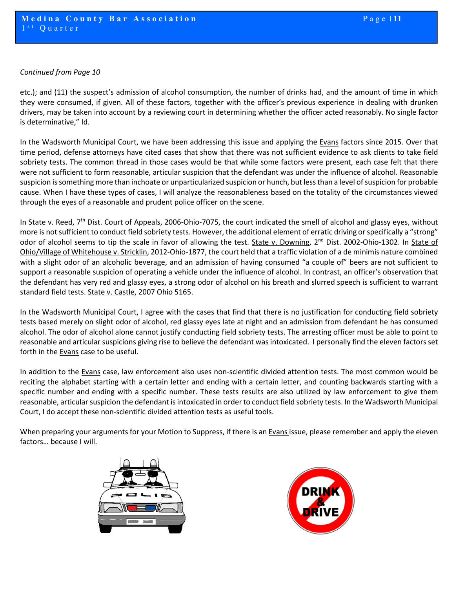#### *Continued from Page 10*

etc.); and (11) the suspect's admission of alcohol consumption, the number of drinks had, and the amount of time in which they were consumed, if given. All of these factors, together with the officer's previous experience in dealing with drunken drivers, may be taken into account by a reviewing court in determining whether the officer acted reasonably. No single factor is determinative," Id.

In the Wadsworth Municipal Court, we have been addressing this issue and applying the Evans factors since 2015. Over that time period, defense attorneys have cited cases that show that there was not sufficient evidence to ask clients to take field sobriety tests. The common thread in those cases would be that while some factors were present, each case felt that there were not sufficient to form reasonable, articular suspicion that the defendant was under the influence of alcohol. Reasonable suspicion is something more than inchoate or unparticularized suspicion or hunch, but less than a level of suspicion for probable cause. When I have these types of cases, I will analyze the reasonableness based on the totality of the circumstances viewed through the eyes of a reasonable and prudent police officer on the scene.

In State v. Reed, 7<sup>th</sup> Dist. Court of Appeals, 2006-Ohio-7075, the court indicated the smell of alcohol and glassy eyes, without more is not sufficient to conduct field sobriety tests. However, the additional element of erratic driving or specifically a "strong" odor of alcohol seems to tip the scale in favor of allowing the test. State v. Downing, 2<sup>nd</sup> Dist. 2002-Ohio-1302. In State of Ohio/Village of Whitehouse v. Stricklin, 2012-Ohio-1877, the court held that a traffic violation of a de minimis nature combined with a slight odor of an alcoholic beverage, and an admission of having consumed "a couple of" beers are not sufficient to support a reasonable suspicion of operating a vehicle under the influence of alcohol. In contrast, an officer's observation that the defendant has very red and glassy eyes, a strong odor of alcohol on his breath and slurred speech is sufficient to warrant standard field tests. State v. Castle, 2007 Ohio 5165.

In the Wadsworth Municipal Court, I agree with the cases that find that there is no justification for conducting field sobriety tests based merely on slight odor of alcohol, red glassy eyes late at night and an admission from defendant he has consumed alcohol. The odor of alcohol alone cannot justify conducting field sobriety tests. The arresting officer must be able to point to reasonable and articular suspicions giving rise to believe the defendant was intoxicated. I personally find the eleven factors set forth in the Evans case to be useful.

In addition to the Evans case, law enforcement also uses non-scientific divided attention tests. The most common would be reciting the alphabet starting with a certain letter and ending with a certain letter, and counting backwards starting with a specific number and ending with a specific number. These tests results are also utilized by law enforcement to give them reasonable, articular suspicion the defendant is intoxicated in order to conduct field sobriety tests. In the Wadsworth Municipal Court, I do accept these non-scientific divided attention tests as useful tools.

When preparing your arguments for your Motion to Suppress, if there is an **Evans** issue, please remember and apply the eleven factors… because I will.



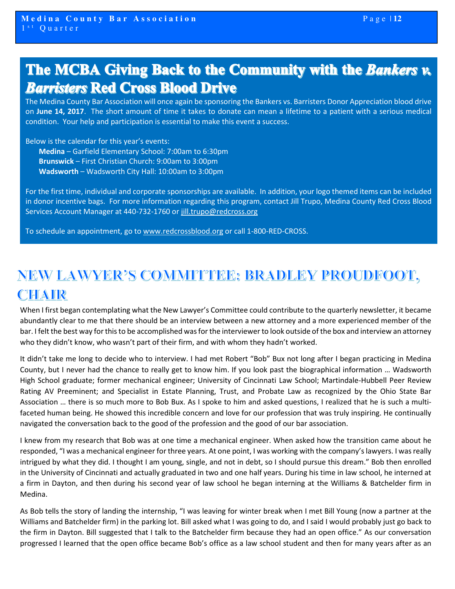# The MCBA Giving Back to the Community with the Bankers v. **Barristers Red Cross Blood Drive**

The Medina County Bar Association will once again be sponsoring the Bankers vs. Barristers Donor Appreciation blood drive on **June 14, 2017**. The short amount of time it takes to donate can mean a lifetime to a patient with a serious medical condition. Your help and participation is essential to make this event a success.

Below is the calendar for this year's events: **Medina** – Garfield Elementary School: 7:00am to 6:30pm **Brunswick** – First Christian Church: 9:00am to 3:00pm **Wadsworth** – Wadsworth City Hall: 10:00am to 3:00pm

For the first time, individual and corporate sponsorships are available. In addition, your logo themed items can be included in donor incentive bags. For more information regarding this program, contact Jill Trupo, Medina County Red Cross Blood Services Account Manager at 440-732-1760 or jill.trupo@redcross.org

To schedule an appointment, go to www.redcrossblood.org or call 1-800-RED-CROSS.

# NEW LAWYER'S COMMITTEE: BRADLEY PROUDFOOT, CHAIR

When I first began contemplating what the New Lawyer's Committee could contribute to the quarterly newsletter, it became abundantly clear to me that there should be an interview between a new attorney and a more experienced member of the bar. I felt the best way for this to be accomplished was for the interviewer to look outside of the box and interview an attorney who they didn't know, who wasn't part of their firm, and with whom they hadn't worked.

It didn't take me long to decide who to interview. I had met Robert "Bob" Bux not long after I began practicing in Medina County, but I never had the chance to really get to know him. If you look past the biographical information … Wadsworth High School graduate; former mechanical engineer; University of Cincinnati Law School; Martindale-Hubbell Peer Review Rating AV Preeminent; and Specialist in Estate Planning, Trust, and Probate Law as recognized by the Ohio State Bar Association … there is so much more to Bob Bux. As I spoke to him and asked questions, I realized that he is such a multifaceted human being. He showed this incredible concern and love for our profession that was truly inspiring. He continually navigated the conversation back to the good of the profession and the good of our bar association.

I knew from my research that Bob was at one time a mechanical engineer. When asked how the transition came about he responded, "I was a mechanical engineer for three years. At one point, I was working with the company's lawyers. I was really intrigued by what they did. I thought I am young, single, and not in debt, so I should pursue this dream." Bob then enrolled in the University of Cincinnati and actually graduated in two and one half years. During his time in law school, he interned at a firm in Dayton, and then during his second year of law school he began interning at the Williams & Batchelder firm in Medina.

As Bob tells the story of landing the internship, "I was leaving for winter break when I met Bill Young (now a partner at the Williams and Batchelder firm) in the parking lot. Bill asked what I was going to do, and I said I would probably just go back to the firm in Dayton. Bill suggested that I talk to the Batchelder firm because they had an open office." As our conversation progressed I learned that the open office became Bob's office as a law school student and then for many years after as an